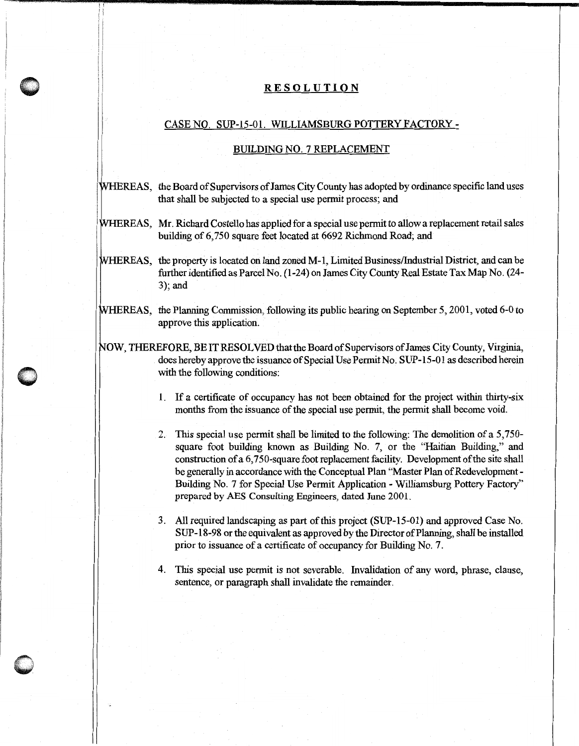## **RESOLUTION**

## CASE NO. SUP-15-01. WILLIAMSBURG POTTERY FACTORY -

## BUILDING NO. 7 REPLACEMENT

- WHEREAS, the Board of Supervisors of James City County has adopted by ordinance specific land uses that shall be subjected to a special use permit process; and
- WHEREAS, Mr. Richard Costello has applied for a special use permit to allow a replacement retail sales building of 6, 750 square feet located at 6692 Richmond Road; and
- WHEREAS, the property is located on land zoned M-1, Limited Business/Industrial District, and can be further identified as Parcel No. (1-24) on James City County Real Estate Tax Map No. (24- 3); and
- WHEREAS, the Planning Commission, following its public hearing on September 5, 2001, voted 6-0 to approve this application.
- NOW, THEREFORE, BE IT RESOLVED that the Board of Supervisors of James City County, Virginia, does hereby approve the issuance of Special Use Permit No. SUP-15-01 as described herein with the following conditions:
	- 1. If a certificate of occupancy has not been obtained for the project within thirty-six months from the issuance of the special use permit, the permit shall become void.
	- 2. This special use permit shall be limited to the following: The demolition of a 5,750 square foot building known as Building No. 7, or the "Haitian Building," and construction of a 6, 750-square foot replacement facility. Development of the site shall be generally in accordance with the Conceptual Plan "Master Plan of Redevelopment - Building No. 7 for Special Use Permit Application - Williamsburg Pottery Factory" prepared by AES Consulting Engineers, dated June 2001.
	- 3. All required landscaping as part of this project (SUP-15-01) and approved Case No. SUP-18-98 or the equivalent as approved by the Director of Planning, shall be installed prior to issuance of a certificate of occupancy for Building No. 7.
	- 4. This special use permit is not severable. Invalidation of any word, phrase, clause, sentence, or paragraph shall invalidate the remainder.